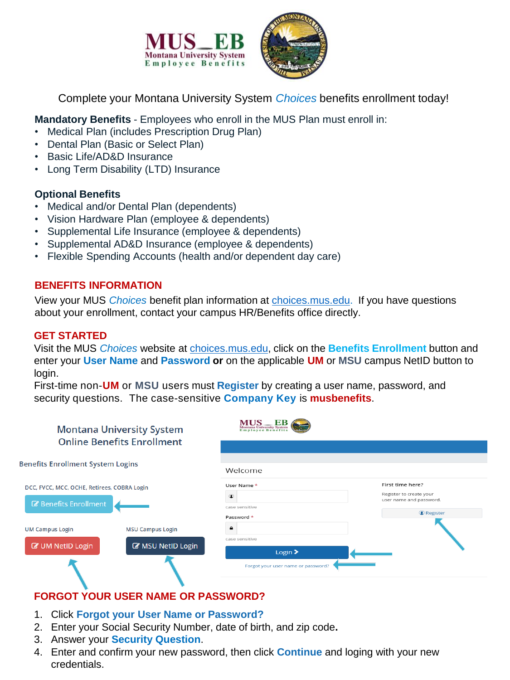

Complete your Montana University System *Choices* benefits enrollment today!

**Mandatory Benefits** - Employees who enroll in the MUS Plan must enroll in:

- Medical Plan (includes Prescription Drug Plan)
- Dental Plan (Basic or Select Plan)
- Basic Life/AD&D Insurance
- Long Term Disability (LTD) Insurance

### **Optional Benefits**

- Medical and/or Dental Plan (dependents)
- Vision Hardware Plan (employee & dependents)
- Supplemental Life Insurance (employee & dependents)
- Supplemental AD&D Insurance (employee & dependents)
- Flexible Spending Accounts (health and/or dependent day care)

### **BENEFITS INFORMATION**

View your MUS *Choices* benefit plan information at [choices.mus.edu.](http://www.choices.mus.edu/) If you have questions about your enrollment, contact your campus HR/Benefits office directly.

### **GET STARTED**

Visit the MUS *Choices* website at [choices.mus.edu,](http://www.choices.mus.edu/) click on the **Benefits Enrollment** button and enter your **User Name** and **Password or** on the applicable **UM** or **MSU** campus NetID button to login.

First-time non-**UM** or **MSU** users must **Register** by creating a user name, password, and security questions. The case-sensitive **Company Key** is **musbenefits**.

| <b>Montana University System</b><br><b>Online Benefits Enrollment</b>              |                                                         | Montana University System<br>Employee Benefits                                      |                                                                                                 |  |
|------------------------------------------------------------------------------------|---------------------------------------------------------|-------------------------------------------------------------------------------------|-------------------------------------------------------------------------------------------------|--|
|                                                                                    |                                                         |                                                                                     |                                                                                                 |  |
| <b>Benefits Enrollment System Logins</b>                                           |                                                         | Welcome                                                                             |                                                                                                 |  |
| DCC, FVCC, MCC, OCHE, Retirees, COBRA Login<br><b><i>B</i></b> Benefits Enrollment |                                                         | User Name *<br>case sensitive<br>Password *                                         | First time here?<br>Register to create your<br>user name and password.<br><sup>©</sup> Register |  |
| <b>UM Campus Login</b><br><b>&amp; UM NetID Login</b>                              | <b>MSU Campus Login</b><br><b>&amp; MSU NetID Login</b> | case sensitive<br>Login $\blacktriangleright$<br>Forgot your user name or password? |                                                                                                 |  |

# **FORGOT YOUR USER NAME OR PASSWORD?**

- 1. Click **Forgot your User Name or Password?**
- 2. Enter your Social Security Number, date of birth, and zip code**.**
- 3. Answer your **Security Question**.
- 4. Enter and confirm your new password, then click **Continue** and loging with your new credentials.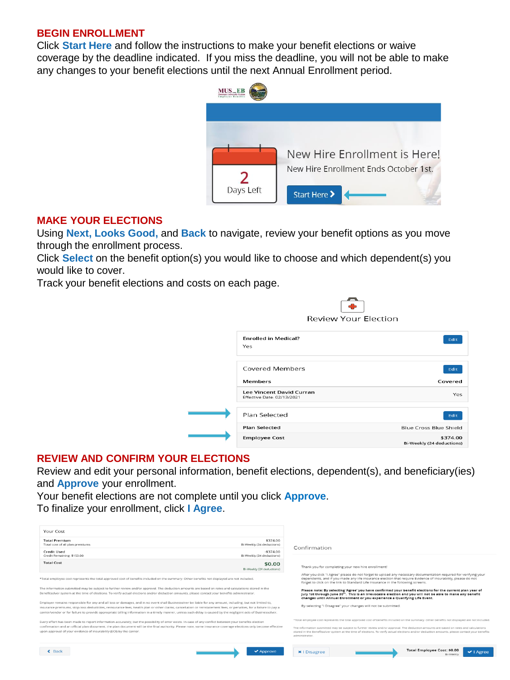#### **BEGIN ENROLLMENT**

Click **Start Here** and follow the instructions to make your benefit elections or waive coverage by the deadline indicated. If you miss the deadline, you will not be able to make any changes to your benefit elections until the next Annual Enrollment period.



#### **MAKE YOUR ELECTIONS**

Using **Next, Looks Good,** and **Back** to navigate, review your benefit options as you move through the enrollment process.

Click **Select** on the benefit option(s) you would like to choose and which dependent(s) you would like to cover.

Track your benefit elections and costs on each page.

| <b>Review Your Election</b>                                   |                                       |  |
|---------------------------------------------------------------|---------------------------------------|--|
| <b>Enrolled in Medical?</b><br>Yes                            | Edit                                  |  |
| Covered Members                                               | Edit                                  |  |
| <b>Members</b>                                                | Covered                               |  |
| <b>Lee Vincent David Curran</b><br>Effective Date: 02/13/2021 | Yes                                   |  |
| Plan Selected                                                 | Edit                                  |  |
| <b>Plan Selected</b>                                          | Blue Cross Blue Shield                |  |
| <b>Employee Cost</b>                                          | \$374.00<br>Bi-Weekly (24 deductions) |  |

 $\sqrt{2}$ 

### **REVIEW AND CONFIRM YOUR ELECTIONS**

Review and edit your personal information, benefit elections, dependent(s), and beneficiary(ies) and **Approve** your enrollment.

Your benefit elections are not complete until you click **Approve**. To finalize your enrollment, click **I Agree**.

| Your Cost                                                                                                                                                                                                                                                                                                                                                                                                                                                                                            |                                         |                                                                                                                                                                                                                                                                                                                                                                                                                                                        |
|------------------------------------------------------------------------------------------------------------------------------------------------------------------------------------------------------------------------------------------------------------------------------------------------------------------------------------------------------------------------------------------------------------------------------------------------------------------------------------------------------|-----------------------------------------|--------------------------------------------------------------------------------------------------------------------------------------------------------------------------------------------------------------------------------------------------------------------------------------------------------------------------------------------------------------------------------------------------------------------------------------------------------|
| <b>Total Premium</b><br>Total cost of all plan premiums                                                                                                                                                                                                                                                                                                                                                                                                                                              | \$374.00<br>Bi-Weekly (24 deductions)   | Confirmation                                                                                                                                                                                                                                                                                                                                                                                                                                           |
| <b>Credit Used</b><br>Credit Remaining: \$153.00                                                                                                                                                                                                                                                                                                                                                                                                                                                     | $-5374.00$<br>Bi-Weekly (24 deductions) |                                                                                                                                                                                                                                                                                                                                                                                                                                                        |
| <b>Total Cost</b>                                                                                                                                                                                                                                                                                                                                                                                                                                                                                    | \$0.00<br>Bi-Weekly (24 deductions)     | Thank you for completing your new hire enrollment!                                                                                                                                                                                                                                                                                                                                                                                                     |
| *Total employee cost represents the total approved cost of benefits included on the summary. Other benefits not displayed are not included.                                                                                                                                                                                                                                                                                                                                                          |                                         | After you click "I Agree" please do not forget to upload any necessary documentation required for verifying your<br>dependents, and if you made any life insurance election that require Evidence of Insurability, please do not<br>forget to click on the link to Standard Life Insurance in the following screens.                                                                                                                                   |
| The information submitted may be subject to further review and/or approval. The deduction amounts are based on rates and calculations stored in the<br>Benefitsolver system at the time of elections. To verify actual elections and/or deduction amounts, please contact your benefits administrator.                                                                                                                                                                                               |                                         | Please note: By selecting 'Agree' you have confirmed your benefit elections for the current plan year of<br>July 1st through June 30 <sup>th</sup> . This is an irrevocable election and you will not be able to make any benefit<br>changes until Annual Enrollment or you experience a Qualifying Life Event.                                                                                                                                        |
| Employer remains responsible for any and all loss or damages, and in no event shall Businessolver be liable for any amount, including, but not limited to,<br>insurance premiums, stop-loss deductibles, reinsurance fees, health plan or other claims, cancellation or reinstatement fees, or penalties, for a failure to pay a<br>carrier/vendor or for failure to provide appropriate billing information in a timely manner, unless such delay is caused by the negligent acts of Businessolver. |                                         | By selecting "I Disagree" your changes will not be submitted.                                                                                                                                                                                                                                                                                                                                                                                          |
| Every effort has been made to report information accurately, but the possibility of error exists. In case of any conflict between your benefits election<br>confirmation and an official plan document, the plan document will be the final authority. Please note, some insurance coverage elections only become effective<br>upon approval of your evidence of insurability (EOI) by the carrier.                                                                                                  |                                         | *Total employee cost represents the total approved cost of benefits included on the summary. Other benefits not displayed are not included<br>The information submitted may be subject to further review and/or approval. The deduction amounts are based on rates and calculations<br>stored in the Benefitsolver system at the time of elections. To verify actual elections and/or deduction amounts, please contact your benefit<br>administrator. |
| $\xi$ Back                                                                                                                                                                                                                                                                                                                                                                                                                                                                                           | $\blacktriangleright$ Approve           | Total Employee Cost: \$0.00<br><b>x</b>   Disagree                                                                                                                                                                                                                                                                                                                                                                                                     |